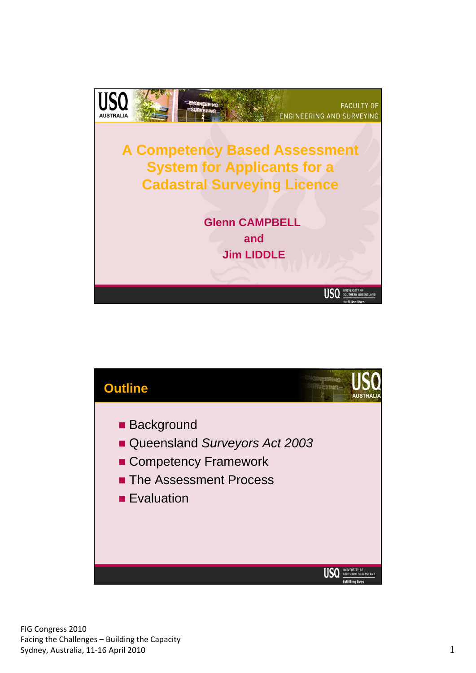

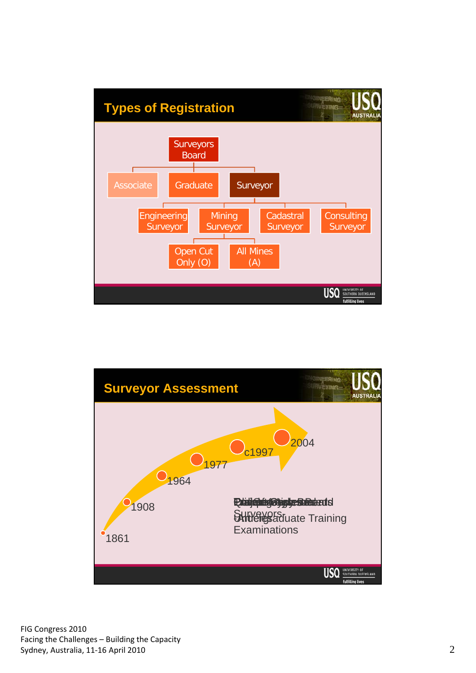

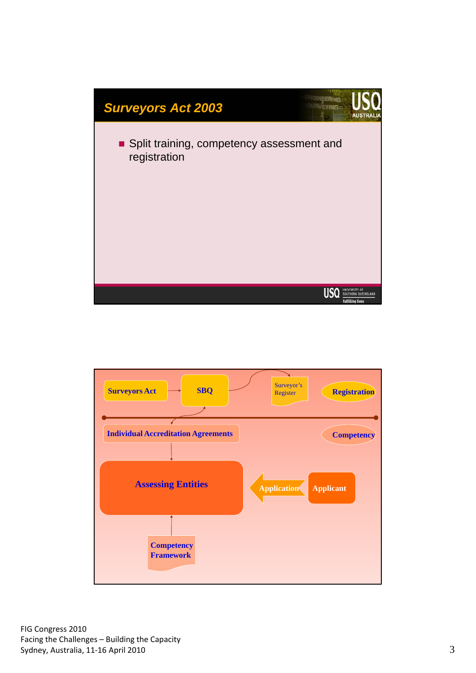

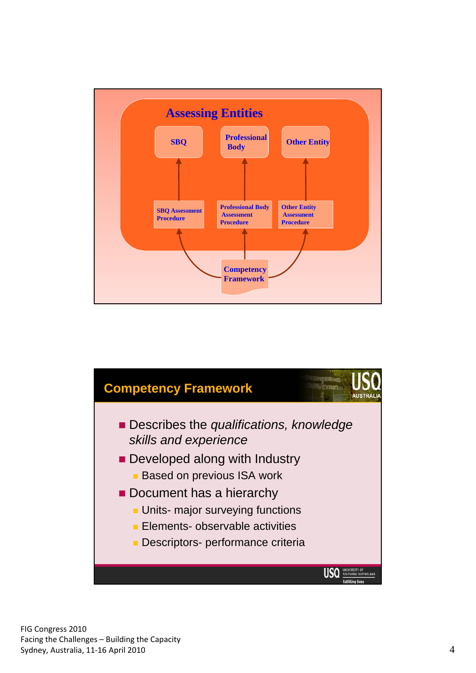

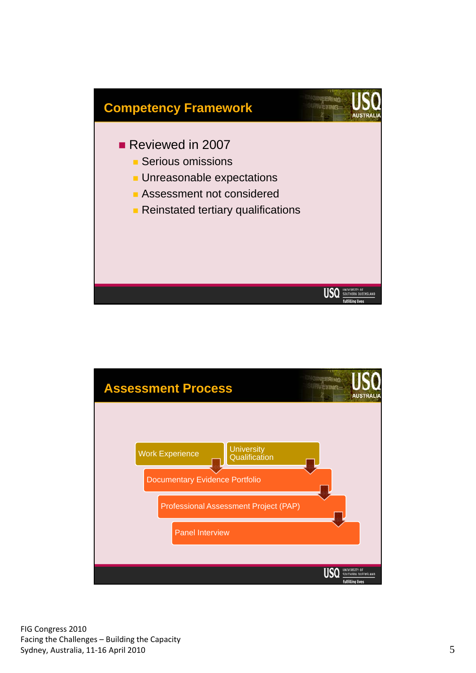

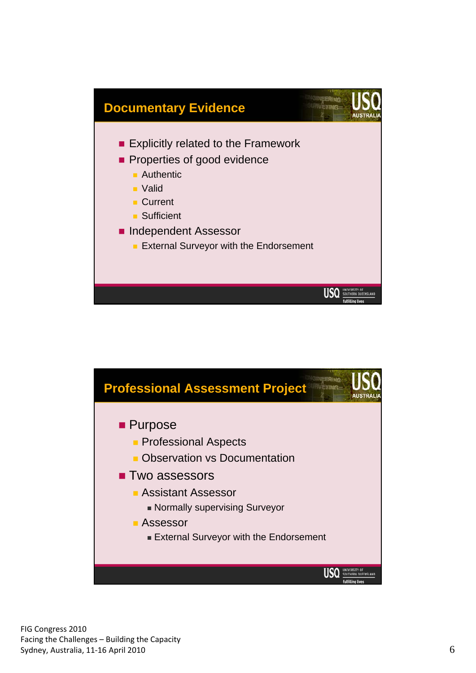

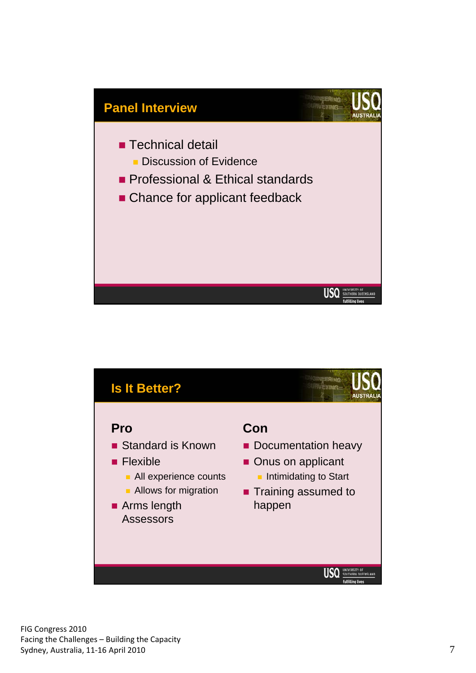